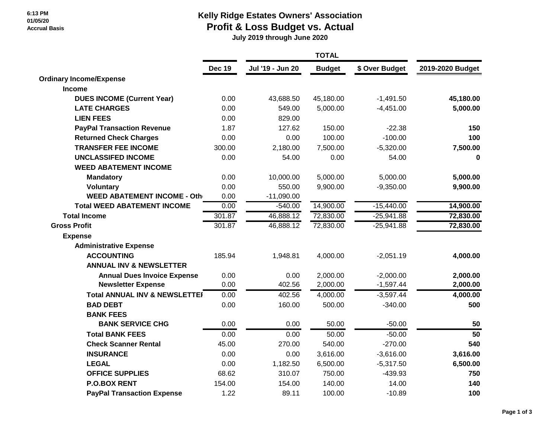## **Kelly Ridge Estates Owners' Association**

### **Profit & Loss Budget vs. Actual**

 **July 2019 through June 2020**

|                                          | <b>Dec 19</b> | Jul '19 - Jun 20 | <b>Budget</b> | \$ Over Budget | 2019-2020 Budget |
|------------------------------------------|---------------|------------------|---------------|----------------|------------------|
| <b>Ordinary Income/Expense</b>           |               |                  |               |                |                  |
| <b>Income</b>                            |               |                  |               |                |                  |
| <b>DUES INCOME (Current Year)</b>        | 0.00          | 43,688.50        | 45,180.00     | $-1,491.50$    | 45,180.00        |
| <b>LATE CHARGES</b>                      | 0.00          | 549.00           | 5,000.00      | $-4,451.00$    | 5,000.00         |
| <b>LIEN FEES</b>                         | 0.00          | 829.00           |               |                |                  |
| <b>PayPal Transaction Revenue</b>        | 1.87          | 127.62           | 150.00        | $-22.38$       | 150              |
| <b>Returned Check Charges</b>            | 0.00          | 0.00             | 100.00        | $-100.00$      | 100              |
| <b>TRANSFER FEE INCOME</b>               | 300.00        | 2,180.00         | 7,500.00      | $-5,320.00$    | 7,500.00         |
| <b>UNCLASSIFED INCOME</b>                | 0.00          | 54.00            | 0.00          | 54.00          | $\bf{0}$         |
| <b>WEED ABATEMENT INCOME</b>             |               |                  |               |                |                  |
| <b>Mandatory</b>                         | 0.00          | 10,000.00        | 5,000.00      | 5,000.00       | 5,000.00         |
| <b>Voluntary</b>                         | 0.00          | 550.00           | 9,900.00      | $-9,350.00$    | 9,900.00         |
| <b>WEED ABATEMENT INCOME - Other</b>     | 0.00          | $-11,090.00$     |               |                |                  |
| <b>Total WEED ABATEMENT INCOME</b>       | 0.00          | $-540.00$        | 14,900.00     | $-15,440.00$   | 14,900.00        |
| <b>Total Income</b>                      | 301.87        | 46,888.12        | 72,830.00     | $-25,941.88$   | 72,830.00        |
| <b>Gross Profit</b>                      | 301.87        | 46,888.12        | 72,830.00     | $-25,941.88$   | 72,830.00        |
| <b>Expense</b>                           |               |                  |               |                |                  |
| <b>Administrative Expense</b>            |               |                  |               |                |                  |
| <b>ACCOUNTING</b>                        | 185.94        | 1,948.81         | 4,000.00      | $-2,051.19$    | 4,000.00         |
| <b>ANNUAL INV &amp; NEWSLETTER</b>       |               |                  |               |                |                  |
| <b>Annual Dues Invoice Expense</b>       | 0.00          | 0.00             | 2,000.00      | $-2,000.00$    | 2,000.00         |
| <b>Newsletter Expense</b>                | 0.00          | 402.56           | 2,000.00      | $-1,597.44$    | 2,000.00         |
| <b>Total ANNUAL INV &amp; NEWSLETTEI</b> | 0.00          | 402.56           | 4,000.00      | $-3,597.44$    | 4,000.00         |
| <b>BAD DEBT</b>                          | 0.00          | 160.00           | 500.00        | $-340.00$      | 500              |
| <b>BANK FEES</b>                         |               |                  |               |                |                  |
| <b>BANK SERVICE CHG</b>                  | 0.00          | 0.00             | 50.00         | $-50.00$       | 50               |
| <b>Total BANK FEES</b>                   | 0.00          | 0.00             | 50.00         | $-50.00$       | $\overline{50}$  |
| <b>Check Scanner Rental</b>              | 45.00         | 270.00           | 540.00        | $-270.00$      | 540              |
| <b>INSURANCE</b>                         | 0.00          | 0.00             | 3,616.00      | $-3,616.00$    | 3,616.00         |
| <b>LEGAL</b>                             | 0.00          | 1,182.50         | 6,500.00      | $-5,317.50$    | 6,500.00         |
| <b>OFFICE SUPPLIES</b>                   | 68.62         | 310.07           | 750.00        | $-439.93$      | 750              |
| <b>P.O.BOX RENT</b>                      | 154.00        | 154.00           | 140.00        | 14.00          | 140              |
| <b>PayPal Transaction Expense</b>        | 1.22          | 89.11            | 100.00        | $-10.89$       | 100              |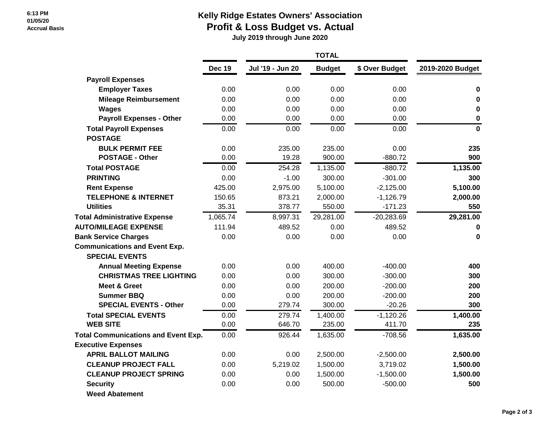#### **6:13 PM 01/05/20 Accrual Basis**

### **Kelly Ridge Estates Owners' Association**

 **Profit & Loss Budget vs. Actual**

 **July 2019 through June 2020**

|                                                 | <b>Dec 19</b> | Jul '19 - Jun 20 | <b>Budget</b>      | \$ Over Budget        | 2019-2020 Budget |
|-------------------------------------------------|---------------|------------------|--------------------|-----------------------|------------------|
| <b>Payroll Expenses</b>                         |               |                  |                    |                       |                  |
| <b>Employer Taxes</b>                           | 0.00          | 0.00             | 0.00               | 0.00                  | $\bf{0}$         |
| <b>Mileage Reimbursement</b>                    | 0.00          | 0.00             | 0.00               | 0.00                  | 0                |
| <b>Wages</b>                                    | 0.00          | 0.00             | 0.00               | 0.00                  | 0                |
| <b>Payroll Expenses - Other</b>                 | 0.00          | 0.00             | 0.00               | 0.00                  | $\bf{0}$         |
| <b>Total Payroll Expenses</b><br><b>POSTAGE</b> | 0.00          | 0.00             | 0.00               | 0.00                  | $\mathbf 0$      |
| <b>BULK PERMIT FEE</b>                          | 0.00          | 235.00           | 235.00             | 0.00                  | 235              |
| <b>POSTAGE - Other</b>                          | 0.00          | 19.28            | 900.00             | $-880.72$             | 900              |
| <b>Total POSTAGE</b>                            | 0.00          | 254.28           | 1,135.00           | $-880.72$             | 1,135.00         |
| <b>PRINTING</b>                                 | 0.00          | $-1.00$          | 300.00             | $-301.00$             | 300              |
| <b>Rent Expense</b>                             | 425.00        | 2,975.00         | 5,100.00           | $-2,125.00$           | 5,100.00         |
| <b>TELEPHONE &amp; INTERNET</b>                 | 150.65        | 873.21           | 2,000.00           | $-1,126.79$           | 2,000.00         |
| <b>Utilities</b>                                | 35.31         | 378.77           | 550.00             | $-171.23$             | 550              |
| <b>Total Administrative Expense</b>             | 1,065.74      | 8,997.31         | 29,281.00          | $-20,283.69$          | 29,281.00        |
| <b>AUTO/MILEAGE EXPENSE</b>                     | 111.94        | 489.52           | 0.00               | 489.52                | 0                |
| <b>Bank Service Charges</b>                     | 0.00          | 0.00             | 0.00               | 0.00                  | $\mathbf 0$      |
| <b>Communications and Event Exp.</b>            |               |                  |                    |                       |                  |
| <b>SPECIAL EVENTS</b>                           |               |                  |                    |                       |                  |
| <b>Annual Meeting Expense</b>                   | 0.00          | 0.00             | 400.00             | $-400.00$             | 400              |
| <b>CHRISTMAS TREE LIGHTING</b>                  | 0.00          | 0.00             | 300.00             | $-300.00$             | 300              |
| <b>Meet &amp; Greet</b>                         | 0.00          | 0.00             | 200.00             | $-200.00$             | 200              |
| <b>Summer BBQ</b>                               | 0.00          | 0.00             | 200.00             | $-200.00$             | 200              |
| <b>SPECIAL EVENTS - Other</b>                   | 0.00          | 279.74           | 300.00             | $-20.26$              | 300              |
| <b>Total SPECIAL EVENTS</b><br><b>WEB SITE</b>  | 0.00<br>0.00  | 279.74<br>646.70 | 1,400.00<br>235.00 | $-1,120.26$<br>411.70 | 1,400.00<br>235  |
| <b>Total Communications and Event Exp.</b>      | 0.00          | 926.44           | 1,635.00           | $-708.56$             | 1,635.00         |
| <b>Executive Expenses</b>                       |               |                  |                    |                       |                  |
| <b>APRIL BALLOT MAILING</b>                     | 0.00          | 0.00             | 2,500.00           | $-2,500.00$           | 2,500.00         |
| <b>CLEANUP PROJECT FALL</b>                     | 0.00          | 5,219.02         | 1,500.00           | 3,719.02              | 1,500.00         |
| <b>CLEANUP PROJECT SPRING</b>                   | 0.00          | 0.00             | 1,500.00           | $-1,500.00$           | 1,500.00         |
| <b>Security</b>                                 | 0.00          | 0.00             | 500.00             | $-500.00$             | 500              |
| <b>Weed Abatement</b>                           |               |                  |                    |                       |                  |